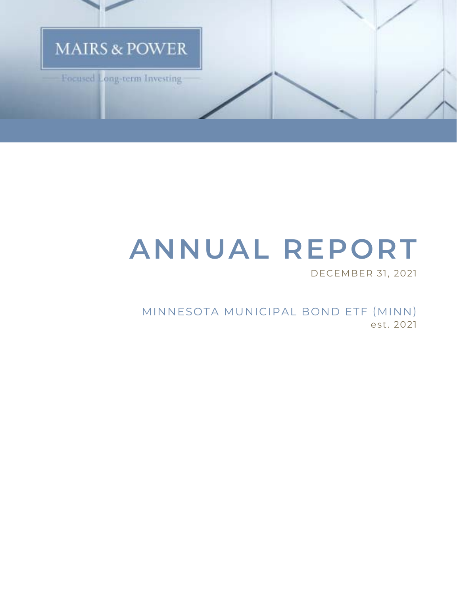

# **ANNUAL REPORT**

DECEMBER 31, 2021

MINNESOTA MUNICIPAL BOND ETF (MINN) est. 2021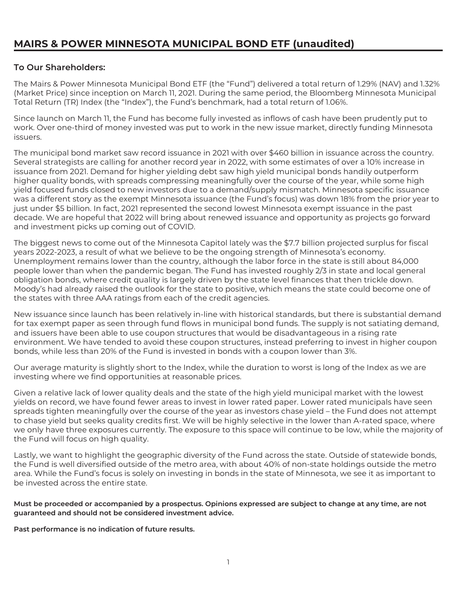# **MAIRS & POWER MINNESOTA MUNICIPAL BOND ETF (unaudited)**

#### **To Our Shareholders:**

The Mairs & Power Minnesota Municipal Bond ETF (the "Fund") delivered a total return of 1.29% (NAV) and 1.32% (Market Price) since inception on March 11, 2021. During the same period, the Bloomberg Minnesota Municipal Total Return (TR) Index (the "Index"), the Fund's benchmark, had a total return of 1.06%.

Since launch on March 11, the Fund has become fully invested as inflows of cash have been prudently put to work. Over one-third of money invested was put to work in the new issue market, directly funding Minnesota issuers.

The municipal bond market saw record issuance in 2021 with over \$460 billion in issuance across the country. Several strategists are calling for another record year in 2022, with some estimates of over a 10% increase in issuance from 2021. Demand for higher yielding debt saw high yield municipal bonds handily outperform higher quality bonds, with spreads compressing meaningfully over the course of the year, while some high yield focused funds closed to new investors due to a demand/supply mismatch. Minnesota specific issuance was a different story as the exempt Minnesota issuance (the Fund's focus) was down 18% from the prior year to just under \$5 billion. In fact, 2021 represented the second lowest Minnesota exempt issuance in the past decade. We are hopeful that 2022 will bring about renewed issuance and opportunity as projects go forward and investment picks up coming out of COVID.

The biggest news to come out of the Minnesota Capitol lately was the \$7.7 billion projected surplus for fiscal years 2022-2023, a result of what we believe to be the ongoing strength of Minnesota's economy. Unemployment remains lower than the country, although the labor force in the state is still about 84,000 people lower than when the pandemic began. The Fund has invested roughly 2/3 in state and local general obligation bonds, where credit quality is largely driven by the state level finances that then trickle down. Moody's had already raised the outlook for the state to positive, which means the state could become one of the states with three AAA ratings from each of the credit agencies.

New issuance since launch has been relatively in-line with historical standards, but there is substantial demand for tax exempt paper as seen through fund flows in municipal bond funds. The supply is not satiating demand, and issuers have been able to use coupon structures that would be disadvantageous in a rising rate environment. We have tended to avoid these coupon structures, instead preferring to invest in higher coupon bonds, while less than 20% of the Fund is invested in bonds with a coupon lower than 3%.

Our average maturity is slightly short to the Index, while the duration to worst is long of the Index as we are investing where we find opportunities at reasonable prices.

Given a relative lack of lower quality deals and the state of the high yield municipal market with the lowest yields on record, we have found fewer areas to invest in lower rated paper. Lower rated municipals have seen spreads tighten meaningfully over the course of the year as investors chase yield – the Fund does not attempt to chase yield but seeks quality credits first. We will be highly selective in the lower than A-rated space, where we only have three exposures currently. The exposure to this space will continue to be low, while the majority of the Fund will focus on high quality.

Lastly, we want to highlight the geographic diversity of the Fund across the state. Outside of statewide bonds, the Fund is well diversified outside of the metro area, with about 40% of non-state holdings outside the metro area. While the Fund's focus is solely on investing in bonds in the state of Minnesota, we see it as important to be invested across the entire state.

#### **Must be proceeded or accompanied by a prospectus. Opinions expressed are subject to change at any time, are not guaranteed and should not be considered investment advice.**

**Past performance is no indication of future results.**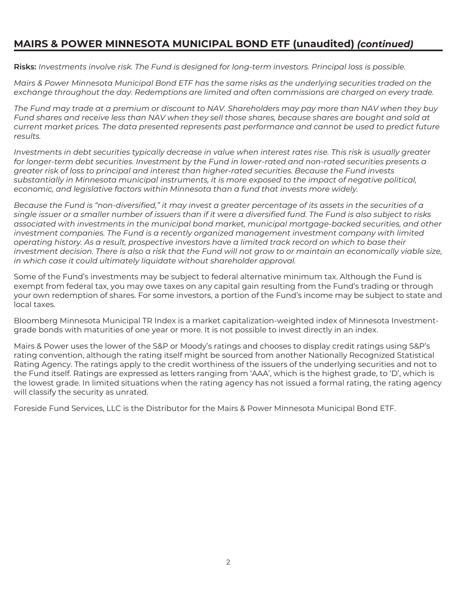# **MAIRS & POWER MINNESOTA MUNICIPAL BOND ETF (unaudited)** *(continued)*

**Risks:** *Investments involve risk. The Fund is designed for long-term investors. Principal loss is possible.*

*Mairs & Power Minnesota Municipal Bond ETF has the same risks as the underlying securities traded on the exchange throughout the day. Redemptions are limited and often commissions are charged on every trade.*

*The Fund may trade at a premium or discount to NAV. Shareholders may pay more than NAV when they buy Fund shares and receive less than NAV when they sell those shares, because shares are bought and sold at current market prices. The data presented represents past performance and cannot be used to predict future results.*

*Investments in debt securities typically decrease in value when interest rates rise. This risk is usually greater for longer-term debt securities. Investment by the Fund in lower-rated and non-rated securities presents a greater risk of loss to principal and interest than higher-rated securities. Because the Fund invests substantially in Minnesota municipal instruments, it is more exposed to the impact of negative political, economic, and legislative factors within Minnesota than a fund that invests more widely.*

*Because the Fund is "non-diversified," it may invest a greater percentage of its assets in the securities of a single issuer or a smaller number of issuers than if it were a diversified fund. The Fund is also subject to risks associated with investments in the municipal bond market, municipal mortgage-backed securities, and other investment companies. The Fund is a recently organized management investment company with limited operating history. As a result, prospective investors have a limited track record on which to base their investment decision. There is also a risk that the Fund will not grow to or maintain an economically viable size, in which case it could ultimately liquidate without shareholder approval.*

Some of the Fund's investments may be subject to federal alternative minimum tax. Although the Fund is exempt from federal tax, you may owe taxes on any capital gain resulting from the Fund's trading or through your own redemption of shares. For some investors, a portion of the Fund's income may be subject to state and local taxes.

Bloomberg Minnesota Municipal TR Index is a market capitalization-weighted index of Minnesota Investmentgrade bonds with maturities of one year or more. It is not possible to invest directly in an index.

Mairs & Power uses the lower of the S&P or Moody's ratings and chooses to display credit ratings using S&P's rating convention, although the rating itself might be sourced from another Nationally Recognized Statistical Rating Agency. The ratings apply to the credit worthiness of the issuers of the underlying securities and not to the Fund itself. Ratings are expressed as letters ranging from 'AAA', which is the highest grade, to 'D', which is the lowest grade. In limited situations when the rating agency has not issued a formal rating, the rating agency will classify the security as unrated.

Foreside Fund Services, LLC is the Distributor for the Mairs & Power Minnesota Municipal Bond ETF.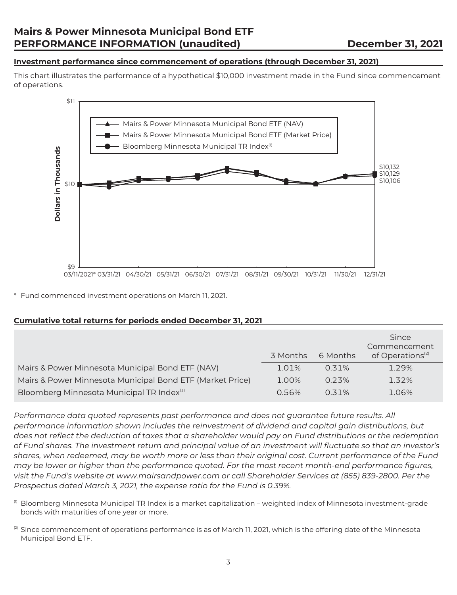#### **Investment performance since commencement of operations (through December 31, 2021)**

This chart illustrates the performance of a hypothetical \$10,000 investment made in the Fund since commencement of operations.



\* Fund commenced investment operations on March 11, 2021.

#### **Cumulative total returns for periods ended December 31, 2021**

|                                                           | 3 Months | 6 Months | Since<br>Commencement<br>of Operations <sup>(2)</sup> |
|-----------------------------------------------------------|----------|----------|-------------------------------------------------------|
| Mairs & Power Minnesota Municipal Bond ETF (NAV)          | 1.01%    | 0.31%    | 1.29%                                                 |
| Mairs & Power Minnesota Municipal Bond ETF (Market Price) | 1.00%    | 0.23%    | 1.32%                                                 |
| Bloomberg Minnesota Municipal TR Index <sup>(1)</sup>     | 0.56%    | 0.31%    | 1.06%                                                 |

*Performance data quoted represents past performance and does not guarantee future results. All performance information shown includes the reinvestment of dividend and capital gain distributions, but does not reflect the deduction of taxes that a shareholder would pay on Fund distributions or the redemption of Fund shares. The investment return and principal value of an investment will fluctuate so that an investor's shares, when redeemed, may be worth more or less than their original cost. Current performance of the Fund may be lower or higher than the performance quoted. For the most recent month-end performance figures, visit the Fund's website at www.mairsandpower.com or call Shareholder Services at (855) 839-2800. Per the Prospectus dated March 3, 2021, the expense ratio for the Fund is 0.39%.*

- $0$  Bloomberg Minnesota Municipal TR Index is a market capitalization weighted index of Minnesota investment-grade bonds with maturities of one year or more.
- $^{(2)}$  Since commencement of operations performance is as of March 11, 2021, which is the offering date of the Minnesota Municipal Bond ETF.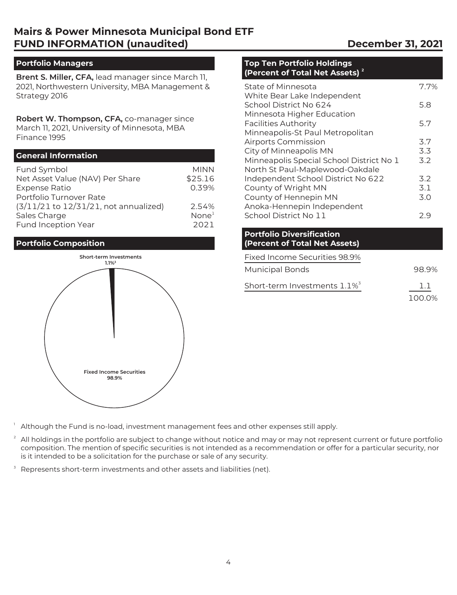# **Mairs & Power Minnesota Municipal Bond ETF FUND INFORMATION (unaudited) December 31, 2021**

#### **Portfolio Managers**

**Brent S. Miller, CFA,** lead manager since March 11, 2021, Northwestern University, MBA Management & Strategy 2016

**Robert W. Thompson, CFA,** co-manager since March 11, 2021, University of Minnesota, MBA Finance 1995

#### **General Information**

| Fund Symbol                                | <b>MINN</b>       |
|--------------------------------------------|-------------------|
| Net Asset Value (NAV) Per Share            | \$25.16           |
| <b>Expense Ratio</b>                       | 0.39%             |
| Portfolio Turnover Rate                    |                   |
| $(3/11/21$ to $12/31/21$ , not annualized) | 2.54%             |
| Sales Charge                               | None <sup>1</sup> |
| Fund Inception Year                        | 2021              |

#### **Portfolio Composition**



#### **Top Ten Portfolio Holdings (Percent of Total Net Assets) 2**

| State of Minnesota                       | 7.7% |
|------------------------------------------|------|
| White Bear Lake Independent              |      |
| School District No 624                   | 5.8  |
| Minnesota Higher Education               |      |
| <b>Facilities Authority</b>              | 5.7  |
| Minneapolis-St Paul Metropolitan         |      |
| <b>Airports Commission</b>               | 3.7  |
| City of Minneapolis MN                   | 3.3  |
| Minneapolis Special School District No 1 | 3.2  |
| North St Paul-Maplewood-Oakdale          |      |
| Independent School District No 622       | 3.2  |
| County of Wright MN                      | 3.1  |
| County of Hennepin MN                    | 3.0  |
| Anoka-Hennepin Independent               |      |
| School District No 11                    | 29   |

#### **Portfolio Diversification (Percent of Total Net Assets)**

| Fixed Income Securities 98.9%               |        |
|---------------------------------------------|--------|
| <b>Municipal Bonds</b>                      | 98.9%  |
| Short-term Investments $1.1\%$ <sup>3</sup> | ו ו    |
|                                             | 100.0% |

- Although the Fund is no-load, investment management fees and other expenses still apply.
- $2$  All holdings in the portfolio are subject to change without notice and may or may not represent current or future portfolio composition. The mention of specific securities is not intended as a recommendation or offer for a particular security, nor is it intended to be a solicitation for the purchase or sale of any security.
- Represents short-term investments and other assets and liabilities (net).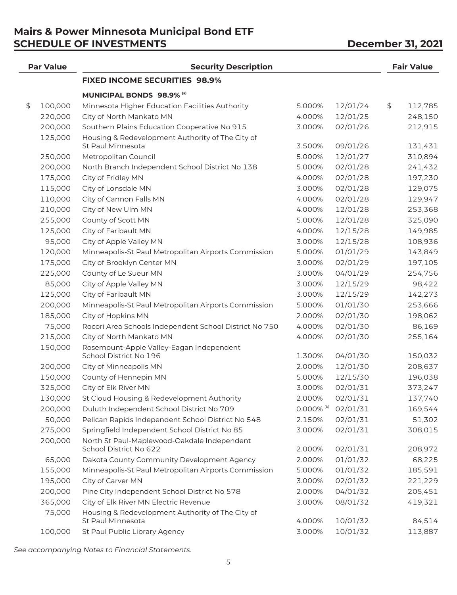# **Mairs & Power Minnesota Municipal Bond ETF SCHEDULE OF INVESTMENTS** December 31, 2021

| <b>Par Value</b> | <b>Security Description</b>                                           |                          |          | <b>Fair Value</b> |
|------------------|-----------------------------------------------------------------------|--------------------------|----------|-------------------|
|                  | <b>FIXED INCOME SECURITIES 98.9%</b>                                  |                          |          |                   |
|                  | <b>MUNICIPAL BONDS 98.9% (a)</b>                                      |                          |          |                   |
| \$<br>100,000    | Minnesota Higher Education Facilities Authority                       | 5.000%                   | 12/01/24 | \$<br>112,785     |
| 220,000          | City of North Mankato MN                                              | 4.000%                   | 12/01/25 | 248,150           |
| 200,000          | Southern Plains Education Cooperative No 915                          | 3.000%                   | 02/01/26 | 212,915           |
| 125,000          | Housing & Redevelopment Authority of The City of                      |                          |          |                   |
|                  | St Paul Minnesota                                                     | 3.500%                   | 09/01/26 | 131,431           |
| 250,000          | Metropolitan Council                                                  | 5.000%                   | 12/01/27 | 310,894           |
| 200,000          | North Branch Independent School District No 138                       | 5.000%                   | 02/01/28 | 241,432           |
| 175,000          | City of Fridley MN                                                    | 4.000%                   | 02/01/28 | 197,230           |
| 115,000          | City of Lonsdale MN                                                   | 3.000%                   | 02/01/28 | 129,075           |
| 110,000          | City of Cannon Falls MN                                               | 4.000%                   | 02/01/28 | 129,947           |
| 210,000          | City of New Ulm MN                                                    | 4.000%                   | 12/01/28 | 253,368           |
| 255,000          | County of Scott MN                                                    | 5.000%                   | 12/01/28 | 325,090           |
| 125,000          | City of Faribault MN                                                  | 4.000%                   | 12/15/28 | 149,985           |
| 95,000           | City of Apple Valley MN                                               | 3.000%                   | 12/15/28 | 108,936           |
| 120,000          | Minneapolis-St Paul Metropolitan Airports Commission                  | 5.000%                   | 01/01/29 | 143,849           |
| 175,000          | City of Brooklyn Center MN                                            | 3.000%                   | 02/01/29 | 197,105           |
| 225,000          | County of Le Sueur MN                                                 | 3.000%                   | 04/01/29 | 254,756           |
| 85,000           | City of Apple Valley MN                                               | 3.000%                   | 12/15/29 | 98,422            |
| 125,000          | City of Faribault MN                                                  | 3.000%                   | 12/15/29 | 142,273           |
| 200,000          | Minneapolis-St Paul Metropolitan Airports Commission                  | 5.000%                   | 01/01/30 | 253,666           |
| 185,000          | City of Hopkins MN                                                    | 2.000%                   | 02/01/30 | 198,062           |
| 75,000           | Rocori Area Schools Independent School District No 750                | 4.000%                   | 02/01/30 | 86,169            |
| 215,000          | City of North Mankato MN                                              | 4.000%                   | 02/01/30 | 255,164           |
| 150,000          | Rosemount-Apple Valley-Eagan Independent<br>School District No 196    | 1.300%                   | 04/01/30 | 150,032           |
| 200,000          | City of Minneapolis MN                                                | 2.000%                   | 12/01/30 | 208,637           |
| 150,000          | County of Hennepin MN                                                 | 5.000%                   | 12/15/30 | 196,038           |
| 325,000          | City of Elk River MN                                                  | 3.000%                   | 02/01/31 | 373,247           |
| 130,000          | St Cloud Housing & Redevelopment Authority                            | 2.000%                   | 02/01/31 | 137,740           |
| 200,000          | Duluth Independent School District No 709                             | $0.000\%$ <sup>(b)</sup> | 02/01/31 | 169,544           |
| 50,000           | Pelican Rapids Independent School District No 548                     | 2.150%                   | 02/01/31 | 51,302            |
| 275,000          | Springfield Independent School District No 85                         | 3.000%                   | 02/01/31 | 308,015           |
| 200,000          | North St Paul-Maplewood-Oakdale Independent<br>School District No 622 | 2.000%                   | 02/01/31 | 208,972           |
| 65,000           | Dakota County Community Development Agency                            | 2.000%                   | 01/01/32 | 68,225            |
| 155,000          | Minneapolis-St Paul Metropolitan Airports Commission                  | 5.000%                   | 01/01/32 | 185,591           |
| 195,000          | City of Carver MN                                                     | 3.000%                   | 02/01/32 | 221,229           |
| 200,000          | Pine City Independent School District No 578                          | 2.000%                   | 04/01/32 | 205,451           |
| 365,000          | City of Elk River MN Electric Revenue                                 | 3.000%                   | 08/01/32 | 419,321           |
| 75,000           | Housing & Redevelopment Authority of The City of<br>St Paul Minnesota | 4.000%                   | 10/01/32 | 84,514            |
| 100,000          | St Paul Public Library Agency                                         | 3.000%                   | 10/01/32 | 113,887           |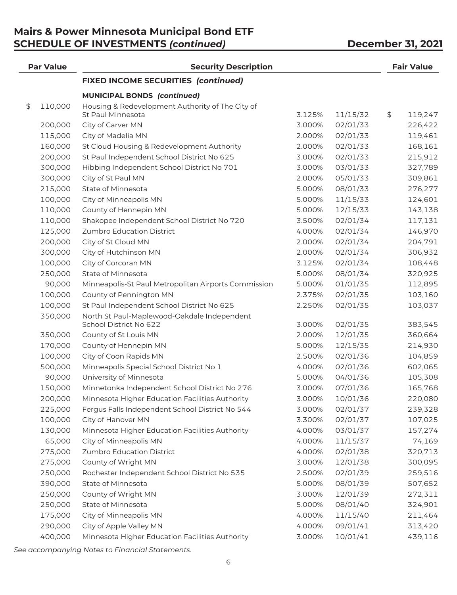# **Mairs & Power Minnesota Municipal Bond ETF SCHEDULE OF INVESTMENTS** *(continued)* **December 31, 2021**

| <b>Par Value</b> | <b>Security Description</b>                          |        |          | <b>Fair Value</b> |
|------------------|------------------------------------------------------|--------|----------|-------------------|
|                  | <b>FIXED INCOME SECURITIES (continued)</b>           |        |          |                   |
|                  | <b>MUNICIPAL BONDS (continued)</b>                   |        |          |                   |
| \$<br>110,000    | Housing & Redevelopment Authority of The City of     |        |          |                   |
|                  | St Paul Minnesota                                    | 3.125% | 11/15/32 | \$<br>119,247     |
| 200,000          | City of Carver MN                                    | 3.000% | 02/01/33 | 226,422           |
| 115,000          | City of Madelia MN                                   | 2.000% | 02/01/33 | 119,461           |
| 160,000          | St Cloud Housing & Redevelopment Authority           | 2.000% | 02/01/33 | 168,161           |
| 200,000          | St Paul Independent School District No 625           | 3.000% | 02/01/33 | 215,912           |
| 300,000          | Hibbing Independent School District No 701           | 3.000% | 03/01/33 | 327,789           |
| 300,000          | City of St Paul MN                                   | 2.000% | 05/01/33 | 309,861           |
| 215,000          | State of Minnesota                                   | 5.000% | 08/01/33 | 276,277           |
| 100,000          | City of Minneapolis MN                               | 5.000% | 11/15/33 | 124,601           |
| 110,000          | County of Hennepin MN                                | 5.000% | 12/15/33 | 143,138           |
| 110,000          | Shakopee Independent School District No 720          | 3.500% | 02/01/34 | 117,131           |
| 125,000          | Zumbro Education District                            | 4.000% | 02/01/34 | 146,970           |
| 200,000          | City of St Cloud MN                                  | 2.000% | 02/01/34 | 204,791           |
| 300,000          | City of Hutchinson MN                                | 2.000% | 02/01/34 | 306,932           |
| 100,000          | City of Corcoran MN                                  | 3.125% | 02/01/34 | 108,448           |
| 250,000          | State of Minnesota                                   | 5.000% | 08/01/34 | 320,925           |
| 90,000           | Minneapolis-St Paul Metropolitan Airports Commission | 5.000% | 01/01/35 | 112,895           |
| 100,000          | County of Pennington MN                              | 2.375% | 02/01/35 | 103,160           |
| 100,000          | St Paul Independent School District No 625           | 2.250% | 02/01/35 | 103,037           |
| 350,000          | North St Paul-Maplewood-Oakdale Independent          |        |          |                   |
|                  | School District No 622                               | 3.000% | 02/01/35 | 383,545           |
| 350,000          | County of St Louis MN                                | 2.000% | 12/01/35 | 360,664           |
| 170,000          | County of Hennepin MN                                | 5.000% | 12/15/35 | 214,930           |
| 100,000          | City of Coon Rapids MN                               | 2.500% | 02/01/36 | 104,859           |
| 500,000          | Minneapolis Special School District No 1             | 4.000% | 02/01/36 | 602,065           |
| 90,000           | University of Minnesota                              | 5.000% | 04/01/36 | 105,308           |
| 150,000          | Minnetonka Independent School District No 276        | 3.000% | 07/01/36 | 165,768           |
| 200,000          | Minnesota Higher Education Facilities Authority      | 3.000% | 10/01/36 | 220,080           |
| 225,000          | Fergus Falls Independent School District No 544      | 3.000% | 02/01/37 | 239,328           |
| 100,000          | City of Hanover MN                                   | 3.300% | 02/01/37 | 107,025           |
| 130,000          | Minnesota Higher Education Facilities Authority      | 4.000% | 03/01/37 | 157,274           |
| 65,000           | City of Minneapolis MN                               | 4.000% | 11/15/37 | 74,169            |
| 275,000          | Zumbro Education District                            | 4.000% | 02/01/38 | 320,713           |
| 275,000          | County of Wright MN                                  | 3.000% | 12/01/38 | 300,095           |
| 250,000          | Rochester Independent School District No 535         | 2.500% | 02/01/39 | 259,516           |
| 390,000          | State of Minnesota                                   | 5.000% | 08/01/39 | 507,652           |
| 250,000          | County of Wright MN                                  | 3.000% | 12/01/39 | 272,311           |
| 250,000          | State of Minnesota                                   | 5.000% | 08/01/40 | 324,901           |
| 175,000          | City of Minneapolis MN                               | 4.000% | 11/15/40 | 211,464           |
| 290,000          | City of Apple Valley MN                              | 4.000% | 09/01/41 | 313,420           |
| 400,000          | Minnesota Higher Education Facilities Authority      | 3.000% | 10/01/41 | 439,116           |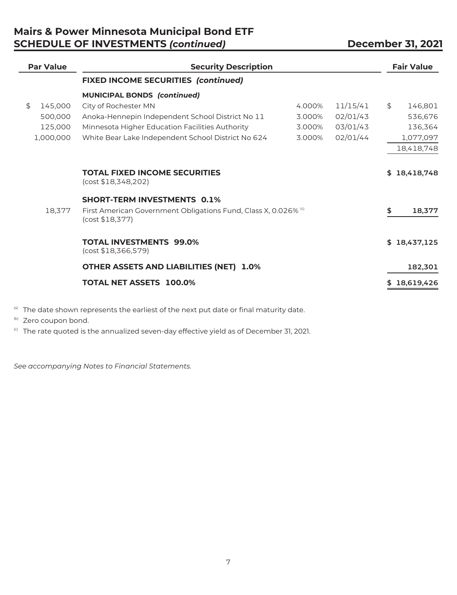# **Mairs & Power Minnesota Municipal Bond ETF SCHEDULE OF INVESTMENTS** *(continued)* **December 31, 2021**

| <b>Par Value</b> | <b>Security Description</b>                                                                   |        |          | <b>Fair Value</b> |
|------------------|-----------------------------------------------------------------------------------------------|--------|----------|-------------------|
|                  | <b>FIXED INCOME SECURITIES (continued)</b>                                                    |        |          |                   |
|                  | <b>MUNICIPAL BONDS (continued)</b>                                                            |        |          |                   |
| \$<br>145,000    | City of Rochester MN                                                                          | 4.000% | 11/15/41 | \$<br>146,801     |
| 500,000          | Anoka-Hennepin Independent School District No 11                                              | 3.000% | 02/01/43 | 536,676           |
| 125,000          | Minnesota Higher Education Facilities Authority                                               | 3.000% | 03/01/43 | 136,364           |
| 1,000,000        | White Bear Lake Independent School District No 624                                            | 3.000% | 02/01/44 | 1,077,097         |
|                  |                                                                                               |        |          | 18,418,748        |
|                  | <b>TOTAL FIXED INCOME SECURITIES</b><br>(cost \$18,348,202)                                   |        |          | \$18,418,748      |
|                  | <b>SHORT-TERM INVESTMENTS 0.1%</b>                                                            |        |          |                   |
| 18,377           | First American Government Obligations Fund, Class X, 0.026% <sup>(c)</sup><br>(cost \$18,377) |        |          | \$<br>18,377      |
|                  | <b>TOTAL INVESTMENTS 99.0%</b><br>(cost \$18,366,579)                                         |        |          | \$18,437,125      |
|                  | <b>OTHER ASSETS AND LIABILITIES (NET) 1.0%</b>                                                |        |          | 182,301           |
|                  | <b>TOTAL NET ASSETS 100.0%</b>                                                                |        |          | 18,619,426        |
|                  |                                                                                               |        |          |                   |

(a) The date shown represents the earliest of the next put date or final maturity date.

(b) Zero coupon bond.

(c) The rate quoted is the annualized seven-day effective yield as of December 31, 2021.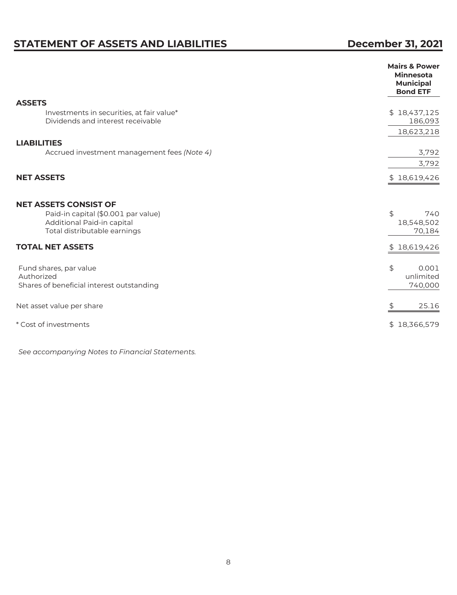# **STATEMENT OF ASSETS AND LIABILITIES** December 31, 2021

|                                                                                                                                   | <b>Mairs &amp; Power</b><br><b>Minnesota</b><br><b>Municipal</b><br><b>Bond ETF</b> |
|-----------------------------------------------------------------------------------------------------------------------------------|-------------------------------------------------------------------------------------|
| <b>ASSETS</b>                                                                                                                     |                                                                                     |
| Investments in securities, at fair value*<br>Dividends and interest receivable                                                    | \$18,437,125<br>186,093                                                             |
|                                                                                                                                   | 18,623,218                                                                          |
| <b>LIABILITIES</b>                                                                                                                |                                                                                     |
| Accrued investment management fees (Note 4)                                                                                       | 3,792                                                                               |
|                                                                                                                                   | 3,792                                                                               |
| <b>NET ASSETS</b>                                                                                                                 | \$18,619,426                                                                        |
| <b>NET ASSETS CONSIST OF</b><br>Paid-in capital (\$0.001 par value)<br>Additional Paid-in capital<br>Total distributable earnings | \$<br>740<br>18,548,502<br>70,184                                                   |
| <b>TOTAL NET ASSETS</b>                                                                                                           | \$18,619,426                                                                        |
| Fund shares, par value<br>Authorized<br>Shares of beneficial interest outstanding                                                 | \$<br>0.001<br>unlimited<br>740,000                                                 |
| Net asset value per share                                                                                                         | \$<br>25.16                                                                         |
| * Cost of investments                                                                                                             | \$18,366,579                                                                        |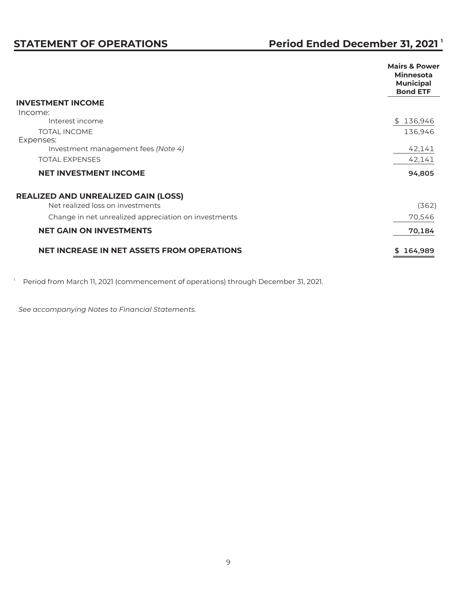|                                                      | <b>Mairs &amp; Power</b><br><b>Minnesota</b><br><b>Municipal</b><br><b>Bond ETF</b> |
|------------------------------------------------------|-------------------------------------------------------------------------------------|
| <b>INVESTMENT INCOME</b>                             |                                                                                     |
| Income:                                              |                                                                                     |
| Interest income                                      | \$136,946                                                                           |
| <b>TOTAL INCOME</b>                                  | 136,946                                                                             |
| Expenses:                                            |                                                                                     |
| Investment management fees (Note 4)                  | 42,141                                                                              |
| <b>TOTAL EXPENSES</b>                                | 42,141                                                                              |
| <b>NET INVESTMENT INCOME</b>                         | 94,805                                                                              |
| <b>REALIZED AND UNREALIZED GAIN (LOSS)</b>           |                                                                                     |
| Net realized loss on investments                     | (362)                                                                               |
| Change in net unrealized appreciation on investments | 70,546                                                                              |
| <b>NET GAIN ON INVESTMENTS</b>                       | 70,184                                                                              |
| <b>NET INCREASE IN NET ASSETS FROM OPERATIONS</b>    | 164,989                                                                             |

<sup>1</sup> Period from March 11, 2021 (commencement of operations) through December 31, 2021.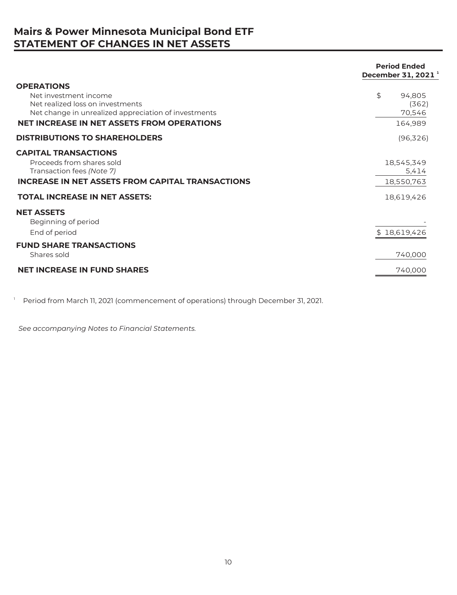# **Mairs & Power Minnesota Municipal Bond ETF STATEMENT OF CHANGES IN NET ASSETS**

|                                                                                                                                                                                                                                     | <b>Period Ended</b><br>December 31, 2021 <sup>1</sup> |
|-------------------------------------------------------------------------------------------------------------------------------------------------------------------------------------------------------------------------------------|-------------------------------------------------------|
| <b>OPERATIONS</b><br>Net investment income<br>Net realized loss on investments<br>Net change in unrealized appreciation of investments<br><b>NET INCREASE IN NET ASSETS FROM OPERATIONS</b><br><b>DISTRIBUTIONS TO SHAREHOLDERS</b> | \$<br>94,805<br>(362)<br>70,546<br>164,989            |
| <b>CAPITAL TRANSACTIONS</b>                                                                                                                                                                                                         | (96, 326)                                             |
| Proceeds from shares sold<br>Transaction fees (Note 7)<br><b>INCREASE IN NET ASSETS FROM CAPITAL TRANSACTIONS</b>                                                                                                                   | 18,545,349<br>5,414<br>18,550,763                     |
| <b>TOTAL INCREASE IN NET ASSETS:</b>                                                                                                                                                                                                | 18,619,426                                            |
| <b>NET ASSETS</b><br>Beginning of period<br>End of period                                                                                                                                                                           | \$18,619,426                                          |
| <b>FUND SHARE TRANSACTIONS</b><br>Shares sold                                                                                                                                                                                       | 740,000                                               |
| <b>NET INCREASE IN FUND SHARES</b>                                                                                                                                                                                                  | 740,000                                               |

<sup>1</sup> Period from March 11, 2021 (commencement of operations) through December 31, 2021.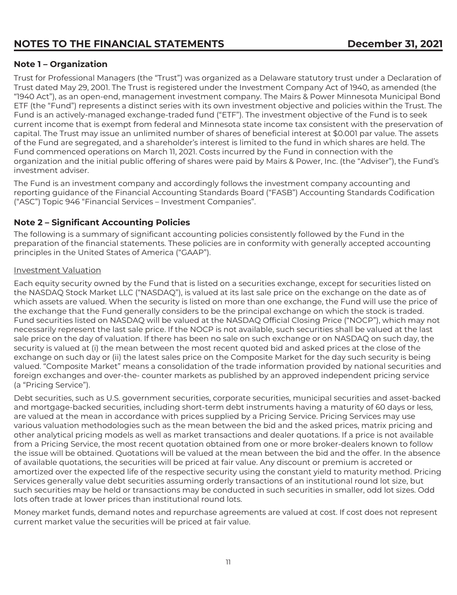# NOTES TO THE FINANCIAL STATEMENTS **Reading the CONTROL CONTROL CONTROL**

#### **Note 1 – Organization**

Trust for Professional Managers (the "Trust") was organized as a Delaware statutory trust under a Declaration of Trust dated May 29, 2001. The Trust is registered under the Investment Company Act of 1940, as amended (the "1940 Act"), as an open-end, management investment company. The Mairs & Power Minnesota Municipal Bond ETF (the "Fund") represents a distinct series with its own investment objective and policies within the Trust. The Fund is an actively-managed exchange-traded fund ("ETF"). The investment objective of the Fund is to seek current income that is exempt from federal and Minnesota state income tax consistent with the preservation of capital. The Trust may issue an unlimited number of shares of beneficial interest at \$0.001 par value. The assets of the Fund are segregated, and a shareholder's interest is limited to the fund in which shares are held. The Fund commenced operations on March 11, 2021. Costs incurred by the Fund in connection with the organization and the initial public offering of shares were paid by Mairs & Power, Inc. (the "Adviser"), the Fund's investment adviser.

The Fund is an investment company and accordingly follows the investment company accounting and reporting guidance of the Financial Accounting Standards Board ("FASB") Accounting Standards Codification ("ASC") Topic 946 "Financial Services – Investment Companies".

#### **Note 2 – Significant Accounting Policies**

The following is a summary of significant accounting policies consistently followed by the Fund in the preparation of the financial statements. These policies are in conformity with generally accepted accounting principles in the United States of America ("GAAP").

#### Investment Valuation

Each equity security owned by the Fund that is listed on a securities exchange, except for securities listed on the NASDAQ Stock Market LLC ("NASDAQ"), is valued at its last sale price on the exchange on the date as of which assets are valued. When the security is listed on more than one exchange, the Fund will use the price of the exchange that the Fund generally considers to be the principal exchange on which the stock is traded. Fund securities listed on NASDAQ will be valued at the NASDAQ Official Closing Price ("NOCP"), which may not necessarily represent the last sale price. If the NOCP is not available, such securities shall be valued at the last sale price on the day of valuation. If there has been no sale on such exchange or on NASDAQ on such day, the security is valued at (i) the mean between the most recent quoted bid and asked prices at the close of the exchange on such day or (ii) the latest sales price on the Composite Market for the day such security is being valued. "Composite Market" means a consolidation of the trade information provided by national securities and foreign exchanges and over-the- counter markets as published by an approved independent pricing service (a "Pricing Service").

Debt securities, such as U.S. government securities, corporate securities, municipal securities and asset-backed and mortgage-backed securities, including short-term debt instruments having a maturity of 60 days or less, are valued at the mean in accordance with prices supplied by a Pricing Service. Pricing Services may use various valuation methodologies such as the mean between the bid and the asked prices, matrix pricing and other analytical pricing models as well as market transactions and dealer quotations. If a price is not available from a Pricing Service, the most recent quotation obtained from one or more broker-dealers known to follow the issue will be obtained. Quotations will be valued at the mean between the bid and the offer. In the absence of available quotations, the securities will be priced at fair value. Any discount or premium is accreted or amortized over the expected life of the respective security using the constant yield to maturity method. Pricing Services generally value debt securities assuming orderly transactions of an institutional round lot size, but such securities may be held or transactions may be conducted in such securities in smaller, odd lot sizes. Odd lots often trade at lower prices than institutional round lots.

Money market funds, demand notes and repurchase agreements are valued at cost. If cost does not represent current market value the securities will be priced at fair value.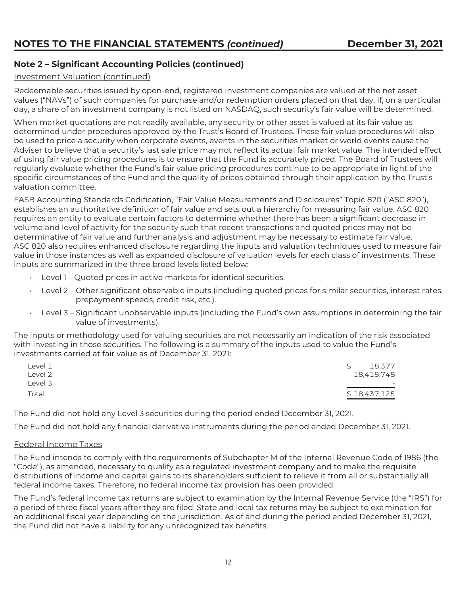### **Note 2 – Significant Accounting Policies (continued)**

#### Investment Valuation (continued)

Redeemable securities issued by open-end, registered investment companies are valued at the net asset values ("NAVs") of such companies for purchase and/or redemption orders placed on that day. If, on a particular day, a share of an investment company is not listed on NASDAQ, such security's fair value will be determined.

When market quotations are not readily available, any security or other asset is valued at its fair value as determined under procedures approved by the Trust's Board of Trustees. These fair value procedures will also be used to price a security when corporate events, events in the securities market or world events cause the Adviser to believe that a security's last sale price may not reflect its actual fair market value. The intended effect of using fair value pricing procedures is to ensure that the Fund is accurately priced. The Board of Trustees will regularly evaluate whether the Fund's fair value pricing procedures continue to be appropriate in light of the specific circumstances of the Fund and the quality of prices obtained through their application by the Trust's valuation committee.

FASB Accounting Standards Codification, "Fair Value Measurements and Disclosures" Topic 820 ("ASC 820"), establishes an authoritative definition of fair value and sets out a hierarchy for measuring fair value. ASC 820 requires an entity to evaluate certain factors to determine whether there has been a significant decrease in volume and level of activity for the security such that recent transactions and quoted prices may not be determinative of fair value and further analysis and adjustment may be necessary to estimate fair value. ASC 820 also requires enhanced disclosure regarding the inputs and valuation techniques used to measure fair value in those instances as well as expanded disclosure of valuation levels for each class of investments. These inputs are summarized in the three broad levels listed below:

- Level 1 Quoted prices in active markets for identical securities.
- Level 2 Other significant observable inputs (including quoted prices for similar securities, interest rates, prepayment speeds, credit risk, etc.).
- Level 3 Significant unobservable inputs (including the Fund's own assumptions in determining the fair value of investments).

The inputs or methodology used for valuing securities are not necessarily an indication of the risk associated with investing in those securities. The following is a summary of the inputs used to value the Fund's investments carried at fair value as of December 31, 2021:

| ∟evel 1 | 18,377<br>\$             |
|---------|--------------------------|
| ∟evel 2 | 18,418,748               |
| ∟evel 3 | $\overline{\phantom{0}}$ |
| Total   | \$18,437,125             |

The Fund did not hold any Level 3 securities during the period ended December 31, 2021.

The Fund did not hold any financial derivative instruments during the period ended December 31, 2021.

#### Federal Income Taxes

The Fund intends to comply with the requirements of Subchapter M of the Internal Revenue Code of 1986 (the "Code"), as amended, necessary to qualify as a regulated investment company and to make the requisite distributions of income and capital gains to its shareholders sufficient to relieve it from all or substantially all federal income taxes. Therefore, no federal income tax provision has been provided.

The Fund's federal income tax returns are subject to examination by the Internal Revenue Service (the "IRS") for a period of three fiscal years after they are filed. State and local tax returns may be subject to examination for an additional fiscal year depending on the jurisdiction. As of and during the period ended December 31, 2021, the Fund did not have a liability for any unrecognized tax benefits.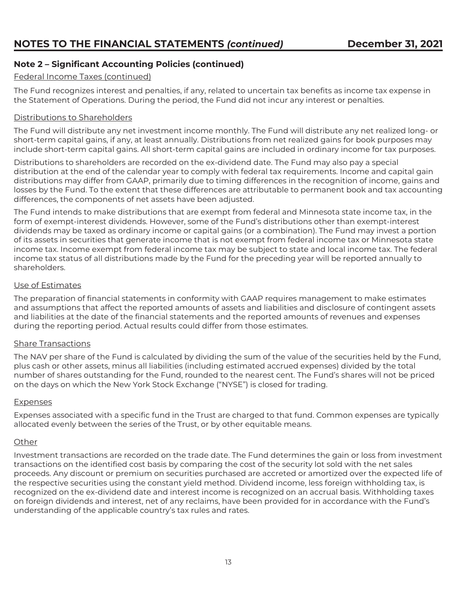### **Note 2 – Significant Accounting Policies (continued)**

#### Federal Income Taxes (continued)

The Fund recognizes interest and penalties, if any, related to uncertain tax benefits as income tax expense in the Statement of Operations. During the period, the Fund did not incur any interest or penalties.

#### Distributions to Shareholders

The Fund will distribute any net investment income monthly. The Fund will distribute any net realized long- or short-term capital gains, if any, at least annually. Distributions from net realized gains for book purposes may include short-term capital gains. All short-term capital gains are included in ordinary income for tax purposes.

Distributions to shareholders are recorded on the ex-dividend date. The Fund may also pay a special distribution at the end of the calendar year to comply with federal tax requirements. Income and capital gain distributions may differ from GAAP, primarily due to timing differences in the recognition of income, gains and losses by the Fund. To the extent that these differences are attributable to permanent book and tax accounting differences, the components of net assets have been adjusted.

The Fund intends to make distributions that are exempt from federal and Minnesota state income tax, in the form of exempt-interest dividends. However, some of the Fund's distributions other than exempt-interest dividends may be taxed as ordinary income or capital gains (or a combination). The Fund may invest a portion of its assets in securities that generate income that is not exempt from federal income tax or Minnesota state income tax. Income exempt from federal income tax may be subject to state and local income tax. The federal income tax status of all distributions made by the Fund for the preceding year will be reported annually to shareholders.

#### Use of Estimates

The preparation of financial statements in conformity with GAAP requires management to make estimates and assumptions that affect the reported amounts of assets and liabilities and disclosure of contingent assets and liabilities at the date of the financial statements and the reported amounts of revenues and expenses during the reporting period. Actual results could differ from those estimates.

#### Share Transactions

The NAV per share of the Fund is calculated by dividing the sum of the value of the securities held by the Fund, plus cash or other assets, minus all liabilities (including estimated accrued expenses) divided by the total number of shares outstanding for the Fund, rounded to the nearest cent. The Fund's shares will not be priced on the days on which the New York Stock Exchange ("NYSE") is closed for trading.

#### Expenses

Expenses associated with a specific fund in the Trust are charged to that fund. Common expenses are typically allocated evenly between the series of the Trust, or by other equitable means.

#### **Other**

Investment transactions are recorded on the trade date. The Fund determines the gain or loss from investment transactions on the identified cost basis by comparing the cost of the security lot sold with the net sales proceeds. Any discount or premium on securities purchased are accreted or amortized over the expected life of the respective securities using the constant yield method. Dividend income, less foreign withholding tax, is recognized on the ex-dividend date and interest income is recognized on an accrual basis. Withholding taxes on foreign dividends and interest, net of any reclaims, have been provided for in accordance with the Fund's understanding of the applicable country's tax rules and rates.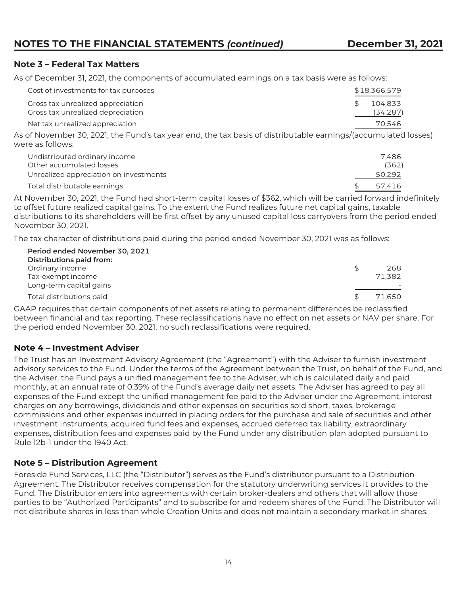#### **Note 3 – Federal Tax Matters**

As of December 31, 2021, the components of accumulated earnings on a tax basis were as follows:

| Cost of investments for tax purposes                                   | \$18,366,579         |
|------------------------------------------------------------------------|----------------------|
| Gross tax unrealized appreciation<br>Gross tax unrealized depreciation | 104.833<br>(34, 287) |
| Net tax unrealized appreciation                                        | 70.546               |

As of November 30, 2021, the Fund's tax year end, the tax basis of distributable earnings/(accumulated losses) were as follows:

| Undistributed ordinary income<br>Other accumulated losses | 7.486<br>(362) |
|-----------------------------------------------------------|----------------|
| Unrealized appreciation on investments                    | 50.292         |
| Total distributable earnings                              | 57,416         |

At November 30, 2021, the Fund had short-term capital losses of \$362, which will be carried forward indefinitely to offset future realized capital gains. To the extent the Fund realizes future net capital gains, taxable distributions to its shareholders will be first offset by any unused capital loss carryovers from the period ended November 30, 2021.

The tax character of distributions paid during the period ended November 30, 2021 was as follows:

| Period ended November 30, 2021<br><b>Distributions paid from:</b> |        |
|-------------------------------------------------------------------|--------|
| Ordinary income                                                   | 268    |
| Tax-exempt income                                                 | 71,382 |
| Long-term capital gains                                           |        |
| Total distributions paid                                          | 71.650 |

GAAP requires that certain components of net assets relating to permanent differences be reclassified between financial and tax reporting. These reclassifications have no effect on net assets or NAV per share. For the period ended November 30, 2021, no such reclassifications were required.

#### **Note 4 – Investment Adviser**

The Trust has an Investment Advisory Agreement (the "Agreement") with the Adviser to furnish investment advisory services to the Fund. Under the terms of the Agreement between the Trust, on behalf of the Fund, and the Adviser, the Fund pays a unified management fee to the Adviser, which is calculated daily and paid monthly, at an annual rate of 0.39% of the Fund's average daily net assets. The Adviser has agreed to pay all expenses of the Fund except the unified management fee paid to the Adviser under the Agreement, interest charges on any borrowings, dividends and other expenses on securities sold short, taxes, brokerage commissions and other expenses incurred in placing orders for the purchase and sale of securities and other investment instruments, acquired fund fees and expenses, accrued deferred tax liability, extraordinary expenses, distribution fees and expenses paid by the Fund under any distribution plan adopted pursuant to Rule 12b-1 under the 1940 Act.

#### **Note 5 – Distribution Agreement**

Foreside Fund Services, LLC (the "Distributor") serves as the Fund's distributor pursuant to a Distribution Agreement. The Distributor receives compensation for the statutory underwriting services it provides to the Fund. The Distributor enters into agreements with certain broker-dealers and others that will allow those parties to be "Authorized Participants" and to subscribe for and redeem shares of the Fund. The Distributor will not distribute shares in less than whole Creation Units and does not maintain a secondary market in shares.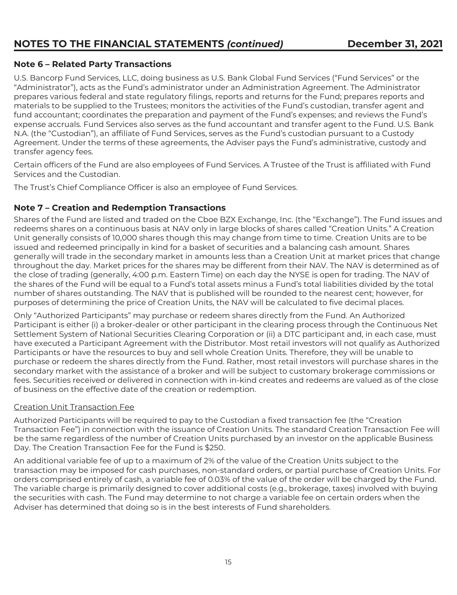### **Note 6 – Related Party Transactions**

U.S. Bancorp Fund Services, LLC, doing business as U.S. Bank Global Fund Services ("Fund Services" or the "Administrator"), acts as the Fund's administrator under an Administration Agreement. The Administrator prepares various federal and state regulatory filings, reports and returns for the Fund; prepares reports and materials to be supplied to the Trustees; monitors the activities of the Fund's custodian, transfer agent and fund accountant; coordinates the preparation and payment of the Fund's expenses; and reviews the Fund's expense accruals. Fund Services also serves as the fund accountant and transfer agent to the Fund. U.S. Bank N.A. (the "Custodian"), an affiliate of Fund Services, serves as the Fund's custodian pursuant to a Custody Agreement. Under the terms of these agreements, the Adviser pays the Fund's administrative, custody and transfer agency fees.

Certain officers of the Fund are also employees of Fund Services. A Trustee of the Trust is affiliated with Fund Services and the Custodian.

The Trust's Chief Compliance Officer is also an employee of Fund Services.

#### **Note 7 – Creation and Redemption Transactions**

Shares of the Fund are listed and traded on the Cboe BZX Exchange, Inc. (the "Exchange"). The Fund issues and redeems shares on a continuous basis at NAV only in large blocks of shares called "Creation Units." A Creation Unit generally consists of 10,000 shares though this may change from time to time. Creation Units are to be issued and redeemed principally in kind for a basket of securities and a balancing cash amount. Shares generally will trade in the secondary market in amounts less than a Creation Unit at market prices that change throughout the day. Market prices for the shares may be different from their NAV. The NAV is determined as of the close of trading (generally, 4:00 p.m. Eastern Time) on each day the NYSE is open for trading. The NAV of the shares of the Fund will be equal to a Fund's total assets minus a Fund's total liabilities divided by the total number of shares outstanding. The NAV that is published will be rounded to the nearest cent; however, for purposes of determining the price of Creation Units, the NAV will be calculated to five decimal places.

Only "Authorized Participants" may purchase or redeem shares directly from the Fund. An Authorized Participant is either (i) a broker-dealer or other participant in the clearing process through the Continuous Net Settlement System of National Securities Clearing Corporation or (ii) a DTC participant and, in each case, must have executed a Participant Agreement with the Distributor. Most retail investors will not qualify as Authorized Participants or have the resources to buy and sell whole Creation Units. Therefore, they will be unable to purchase or redeem the shares directly from the Fund. Rather, most retail investors will purchase shares in the secondary market with the assistance of a broker and will be subject to customary brokerage commissions or fees. Securities received or delivered in connection with in-kind creates and redeems are valued as of the close of business on the effective date of the creation or redemption.

#### Creation Unit Transaction Fee

Authorized Participants will be required to pay to the Custodian a fixed transaction fee (the "Creation Transaction Fee") in connection with the issuance of Creation Units. The standard Creation Transaction Fee will be the same regardless of the number of Creation Units purchased by an investor on the applicable Business Day. The Creation Transaction Fee for the Fund is \$250.

An additional variable fee of up to a maximum of 2% of the value of the Creation Units subject to the transaction may be imposed for cash purchases, non-standard orders, or partial purchase of Creation Units. For orders comprised entirely of cash, a variable fee of 0.03% of the value of the order will be charged by the Fund. The variable charge is primarily designed to cover additional costs (e.g., brokerage, taxes) involved with buying the securities with cash. The Fund may determine to not charge a variable fee on certain orders when the Adviser has determined that doing so is in the best interests of Fund shareholders.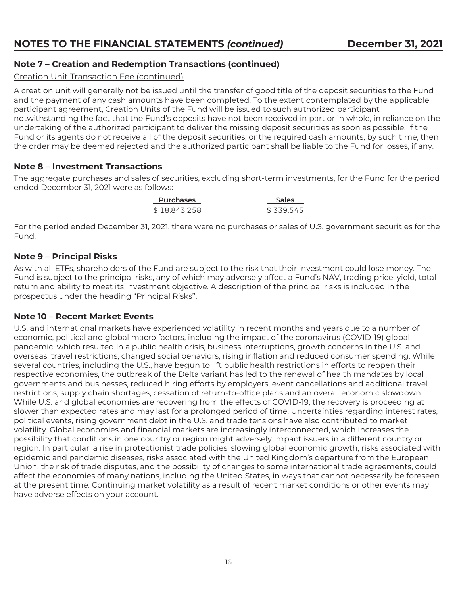### **Note 7 – Creation and Redemption Transactions (continued)**

#### Creation Unit Transaction Fee (continued)

A creation unit will generally not be issued until the transfer of good title of the deposit securities to the Fund and the payment of any cash amounts have been completed. To the extent contemplated by the applicable participant agreement, Creation Units of the Fund will be issued to such authorized participant notwithstanding the fact that the Fund's deposits have not been received in part or in whole, in reliance on the undertaking of the authorized participant to deliver the missing deposit securities as soon as possible. If the Fund or its agents do not receive all of the deposit securities, or the required cash amounts, by such time, then the order may be deemed rejected and the authorized participant shall be liable to the Fund for losses, if any.

#### **Note 8 – Investment Transactions**

The aggregate purchases and sales of securities, excluding short-term investments, for the Fund for the period ended December 31, 2021 were as follows:

> Purchases **Sales** \$ 18,843,258 \$ 339,545

For the period ended December 31, 2021, there were no purchases or sales of U.S. government securities for the Fund.

#### **Note 9 – Principal Risks**

As with all ETFs, shareholders of the Fund are subject to the risk that their investment could lose money. The Fund is subject to the principal risks, any of which may adversely affect a Fund's NAV, trading price, yield, total return and ability to meet its investment objective. A description of the principal risks is included in the prospectus under the heading "Principal Risks''.

#### **Note 10 – Recent Market Events**

U.S. and international markets have experienced volatility in recent months and years due to a number of economic, political and global macro factors, including the impact of the coronavirus (COVID-19) global pandemic, which resulted in a public health crisis, business interruptions, growth concerns in the U.S. and overseas, travel restrictions, changed social behaviors, rising inflation and reduced consumer spending. While several countries, including the U.S., have begun to lift public health restrictions in efforts to reopen their respective economies, the outbreak of the Delta variant has led to the renewal of health mandates by local governments and businesses, reduced hiring efforts by employers, event cancellations and additional travel restrictions, supply chain shortages, cessation of return-to-office plans and an overall economic slowdown. While U.S. and global economies are recovering from the effects of COVID-19, the recovery is proceeding at slower than expected rates and may last for a prolonged period of time. Uncertainties regarding interest rates, political events, rising government debt in the U.S. and trade tensions have also contributed to market volatility. Global economies and financial markets are increasingly interconnected, which increases the possibility that conditions in one country or region might adversely impact issuers in a different country or region. In particular, a rise in protectionist trade policies, slowing global economic growth, risks associated with epidemic and pandemic diseases, risks associated with the United Kingdom's departure from the European Union, the risk of trade disputes, and the possibility of changes to some international trade agreements, could affect the economies of many nations, including the United States, in ways that cannot necessarily be foreseen at the present time. Continuing market volatility as a result of recent market conditions or other events may have adverse effects on your account.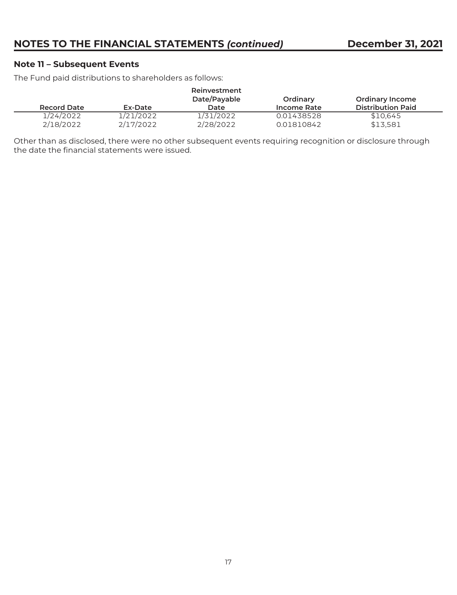#### **Note 11 – Subsequent Events**

The Fund paid distributions to shareholders as follows:

| Record Date | Ex-Date   | Reinvestment<br>Date/Payable<br>Date | Ordinary<br>Income Rate | <b>Ordinary Income</b><br><b>Distribution Paid</b> |
|-------------|-----------|--------------------------------------|-------------------------|----------------------------------------------------|
| 1/24/2022   | 1/21/2022 | 1/31/2022                            | 0.01438528              | \$10.645                                           |
| 2/18/2022   | 2/17/2022 | 2/28/2022                            | 0.01810842              | \$13.581                                           |

Other than as disclosed, there were no other subsequent events requiring recognition or disclosure through the date the financial statements were issued.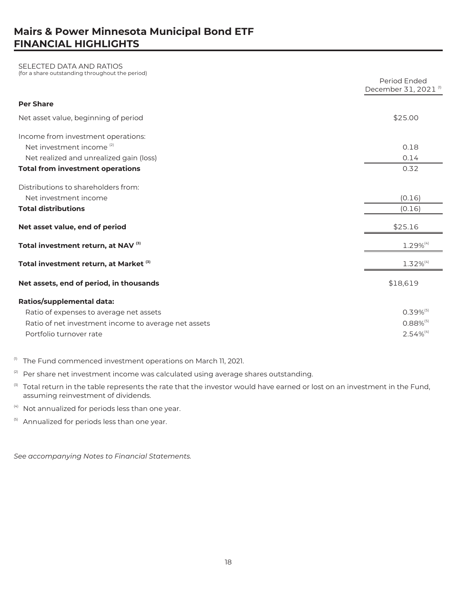# **Mairs & Power Minnesota Municipal Bond ETF FINANCIAL HIGHLIGHTS**

# SELECTED DATA AND RATIOS (for a share outstanding throughout the period)

|                                                      | Period Ended<br>December 31, 2021 <sup>(1)</sup> |
|------------------------------------------------------|--------------------------------------------------|
| <b>Per Share</b>                                     |                                                  |
| Net asset value, beginning of period                 | \$25.00                                          |
| Income from investment operations:                   |                                                  |
| Net investment income <sup>(2)</sup>                 | 0.18                                             |
| Net realized and unrealized gain (loss)              | 0.14                                             |
| <b>Total from investment operations</b>              | 0.32                                             |
| Distributions to shareholders from:                  |                                                  |
| Net investment income                                | (0.16)                                           |
| <b>Total distributions</b>                           | (0.16)                                           |
| Net asset value, end of period                       | \$25.16                                          |
| Total investment return, at NAV <sup>(3)</sup>       | 1.29%(4)                                         |
| Total investment return, at Market <sup>(3)</sup>    | $1.32\%^{(4)}$                                   |
| Net assets, end of period, in thousands              | \$18,619                                         |
| <b>Ratios/supplemental data:</b>                     |                                                  |
| Ratio of expenses to average net assets              | $0.39%^{(5)}$                                    |
| Ratio of net investment income to average net assets | $0.88\%^{(5)}$                                   |
| Portfolio turnover rate                              | $2.54\%^{(4)}$                                   |

- $<sup>10</sup>$  The Fund commenced investment operations on March 11, 2021.</sup>
- $2)$  Per share net investment income was calculated using average shares outstanding.
- (3) Total return in the table represents the rate that the investor would have earned or lost on an investment in the Fund, assuming reinvestment of dividends.
- $(4)$  Not annualized for periods less than one year.
- <sup>(5)</sup> Annualized for periods less than one year.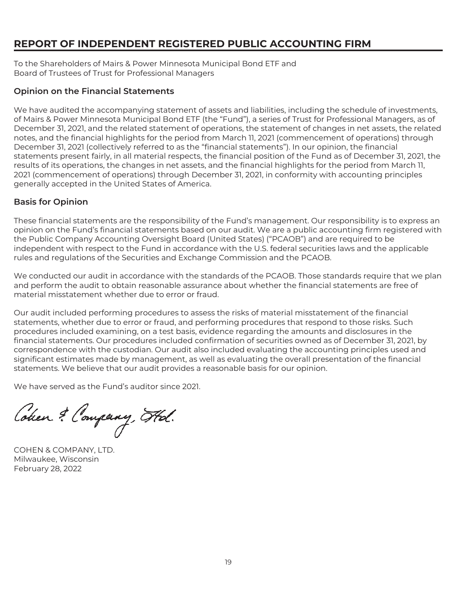# **REPORT OF INDEPENDENT REGISTERED PUBLIC ACCOUNTING FIRM**

To the Shareholders of Mairs & Power Minnesota Municipal Bond ETF and Board of Trustees of Trust for Professional Managers

#### **Opinion on the Financial Statements**

We have audited the accompanying statement of assets and liabilities, including the schedule of investments, of Mairs & Power Minnesota Municipal Bond ETF (the "Fund"), a series of Trust for Professional Managers, as of December 31, 2021, and the related statement of operations, the statement of changes in net assets, the related notes, and the financial highlights for the period from March 11, 2021 (commencement of operations) through December 31, 2021 (collectively referred to as the "financial statements"). In our opinion, the financial statements present fairly, in all material respects, the financial position of the Fund as of December 31, 2021, the results of its operations, the changes in net assets, and the financial highlights for the period from March 11, 2021 (commencement of operations) through December 31, 2021, in conformity with accounting principles generally accepted in the United States of America.

#### **Basis for Opinion**

These financial statements are the responsibility of the Fund's management. Our responsibility is to express an opinion on the Fund's financial statements based on our audit. We are a public accounting firm registered with the Public Company Accounting Oversight Board (United States) ("PCAOB") and are required to be independent with respect to the Fund in accordance with the U.S. federal securities laws and the applicable rules and regulations of the Securities and Exchange Commission and the PCAOB.

We conducted our audit in accordance with the standards of the PCAOB. Those standards require that we plan and perform the audit to obtain reasonable assurance about whether the financial statements are free of material misstatement whether due to error or fraud.

Our audit included performing procedures to assess the risks of material misstatement of the financial statements, whether due to error or fraud, and performing procedures that respond to those risks. Such procedures included examining, on a test basis, evidence regarding the amounts and disclosures in the financial statements. Our procedures included confirmation of securities owned as of December 31, 2021, by correspondence with the custodian. Our audit also included evaluating the accounting principles used and significant estimates made by management, as well as evaluating the overall presentation of the financial statements. We believe that our audit provides a reasonable basis for our opinion.

We have served as the Fund's auditor since 2021.

Cohen & Company, Hol.

COHEN & COMPANY, LTD. Milwaukee, Wisconsin February 28, 2022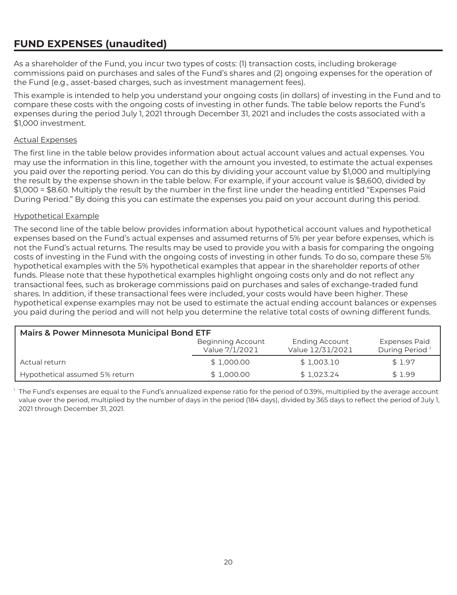# **FUND EXPENSES (unaudited)**

As a shareholder of the Fund, you incur two types of costs: (1) transaction costs, including brokerage commissions paid on purchases and sales of the Fund's shares and (2) ongoing expenses for the operation of the Fund (e.g., asset-based charges, such as investment management fees).

This example is intended to help you understand your ongoing costs (in dollars) of investing in the Fund and to compare these costs with the ongoing costs of investing in other funds. The table below reports the Fund's expenses during the period July 1, 2021 through December 31, 2021 and includes the costs associated with a \$1,000 investment.

#### Actual Expenses

The first line in the table below provides information about actual account values and actual expenses. You may use the information in this line, together with the amount you invested, to estimate the actual expenses you paid over the reporting period. You can do this by dividing your account value by \$1,000 and multiplying the result by the expense shown in the table below. For example, if your account value is \$8,600, divided by \$1,000 = \$8.60. Multiply the result by the number in the first line under the heading entitled "Expenses Paid During Period." By doing this you can estimate the expenses you paid on your account during this period.

#### Hypothetical Example

The second line of the table below provides information about hypothetical account values and hypothetical expenses based on the Fund's actual expenses and assumed returns of 5% per year before expenses, which is not the Fund's actual returns. The results may be used to provide you with a basis for comparing the ongoing costs of investing in the Fund with the ongoing costs of investing in other funds. To do so, compare these 5% hypothetical examples with the 5% hypothetical examples that appear in the shareholder reports of other funds. Please note that these hypothetical examples highlight ongoing costs only and do not reflect any transactional fees, such as brokerage commissions paid on purchases and sales of exchange-traded fund shares. In addition, if these transactional fees were included, your costs would have been higher. These hypothetical expense examples may not be used to estimate the actual ending account balances or expenses you paid during the period and will not help you determine the relative total costs of owning different funds.

| <b>Mairs &amp; Power Minnesota Municipal Bond ETF</b> |                                     |                                           |                                                    |  |  |  |
|-------------------------------------------------------|-------------------------------------|-------------------------------------------|----------------------------------------------------|--|--|--|
|                                                       | Beginning Account<br>Value 7/1/2021 | <b>Ending Account</b><br>Value 12/31/2021 | <b>Expenses Paid</b><br>During Period <sup>1</sup> |  |  |  |
| Actual return                                         | \$1,000.00                          | \$1,003.10                                | \$1.97                                             |  |  |  |
| Hypothetical assumed 5% return                        | \$1,000.00                          | \$1.023.24                                | \$1.99                                             |  |  |  |

 $1$  The Fund's expenses are equal to the Fund's annualized expense ratio for the period of 0.39%, multiplied by the average account value over the period, multiplied by the number of days in the period (184 days), divided by 365 days to reflect the period of July 1, 2021 through December 31, 2021.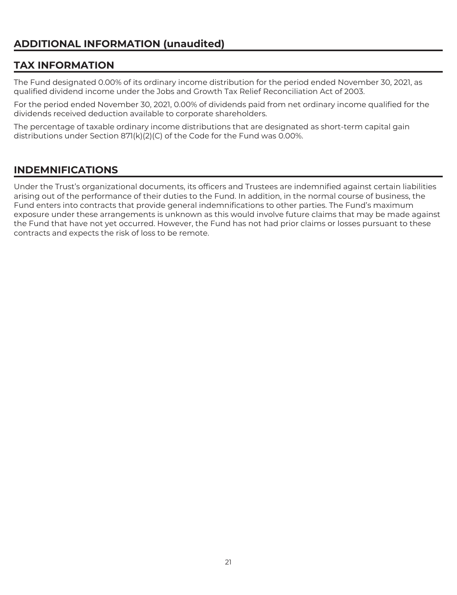# **TAX INFORMATION**

The Fund designated 0.00% of its ordinary income distribution for the period ended November 30, 2021, as qualified dividend income under the Jobs and Growth Tax Relief Reconciliation Act of 2003.

For the period ended November 30, 2021, 0.00% of dividends paid from net ordinary income qualified for the dividends received deduction available to corporate shareholders.

The percentage of taxable ordinary income distributions that are designated as short-term capital gain distributions under Section 871(k)(2)(C) of the Code for the Fund was 0.00%.

# **INDEMNIFICATIONS**

Under the Trust's organizational documents, its officers and Trustees are indemnified against certain liabilities arising out of the performance of their duties to the Fund. In addition, in the normal course of business, the Fund enters into contracts that provide general indemnifications to other parties. The Fund's maximum exposure under these arrangements is unknown as this would involve future claims that may be made against the Fund that have not yet occurred. However, the Fund has not had prior claims or losses pursuant to these contracts and expects the risk of loss to be remote.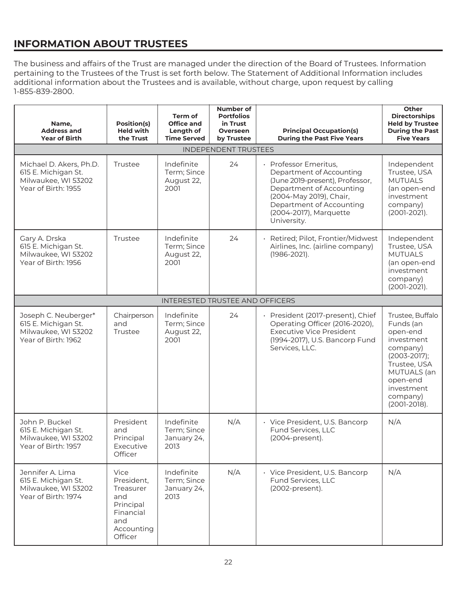# **INFORMATION ABOUT TRUSTEES**

The business and affairs of the Trust are managed under the direction of the Board of Trustees. Information pertaining to the Trustees of the Trust is set forth below. The Statement of Additional Information includes additional information about the Trustees and is available, without charge, upon request by calling 1-855-839-2800.

| Name,<br><b>Address and</b><br><b>Year of Birth</b>                                          | Position(s)<br><b>Held with</b><br>the Trust                                                     | Term of<br><b>Office and</b><br>Length of<br><b>Time Served</b> | <b>Number of</b><br><b>Portfolios</b><br>in Trust<br>Overseen<br>by Trustee | <b>Principal Occupation(s)</b><br><b>During the Past Five Years</b>                                                                                                                                            | Other<br><b>Directorships</b><br><b>Held by Trustee</b><br><b>During the Past</b><br><b>Five Years</b>                                                                       |
|----------------------------------------------------------------------------------------------|--------------------------------------------------------------------------------------------------|-----------------------------------------------------------------|-----------------------------------------------------------------------------|----------------------------------------------------------------------------------------------------------------------------------------------------------------------------------------------------------------|------------------------------------------------------------------------------------------------------------------------------------------------------------------------------|
|                                                                                              |                                                                                                  |                                                                 | <b>INDEPENDENT TRUSTEES</b>                                                 |                                                                                                                                                                                                                |                                                                                                                                                                              |
| Michael D. Akers, Ph.D.<br>615 E. Michigan St.<br>Milwaukee, WI 53202<br>Year of Birth: 1955 | Trustee                                                                                          | Indefinite<br>Term; Since<br>August 22,<br>2001                 | 24                                                                          | Professor Emeritus,<br>Department of Accounting<br>(June 2019-present), Professor,<br>Department of Accounting<br>(2004-May 2019), Chair,<br>Department of Accounting<br>(2004-2017), Marquette<br>University. | Independent<br>Trustee, USA<br><b>MUTUALS</b><br>(an open-end<br>investment<br>company)<br>(2001-2021).                                                                      |
| Gary A. Drska<br>615 E. Michigan St.<br>Milwaukee, WI 53202<br>Year of Birth: 1956           | Trustee                                                                                          | Indefinite<br>Term; Since<br>August 22,<br>2001                 | 24                                                                          | Retired; Pilot, Frontier/Midwest<br>Airlines, Inc. (airline company)<br>(1986-2021).                                                                                                                           | Independent<br>Trustee, USA<br><b>MUTUALS</b><br>(an open-end<br>investment<br>company)<br>$(2001-2021).$                                                                    |
|                                                                                              |                                                                                                  | <b>INTERESTED TRUSTEE AND OFFICERS</b>                          |                                                                             |                                                                                                                                                                                                                |                                                                                                                                                                              |
| Joseph C. Neuberger*<br>615 E. Michigan St.<br>Milwaukee, WI 53202<br>Year of Birth: 1962    | Chairperson<br>and<br>Trustee                                                                    | Indefinite<br>Term; Since<br>August 22,<br>2001                 | 24                                                                          | · President (2017-present), Chief<br>Operating Officer (2016-2020),<br><b>Executive Vice President</b><br>(1994-2017), U.S. Bancorp Fund<br>Services, LLC.                                                     | Trustee, Buffalo<br>Funds (an<br>open-end<br>investment<br>company)<br>$(2003 - 2017);$<br>Trustee, USA<br>MUTUALS (an<br>open-end<br>investment<br>company)<br>(2001-2018). |
| John P. Buckel<br>615 E. Michigan St.<br>Milwaukee, WI 53202<br>Year of Birth: 1957          | President<br>and<br>Principal<br>Executive<br>Officer                                            | Indefinite<br>Term; Since<br>January 24,<br>2013                | N/A                                                                         | · Vice President, U.S. Bancorp<br>Fund Services, LLC<br>(2004-present).                                                                                                                                        | N/A                                                                                                                                                                          |
| Jennifer A. Lima<br>615 E. Michigan St.<br>Milwaukee, WI 53202<br>Year of Birth: 1974        | Vice<br>President,<br>Treasurer<br>and<br>Principal<br>Financial<br>and<br>Accounting<br>Officer | Indefinite<br>Term; Since<br>January 24,<br>2013                | N/A                                                                         | · Vice President, U.S. Bancorp<br>Fund Services, LLC<br>(2002-present).                                                                                                                                        | N/A                                                                                                                                                                          |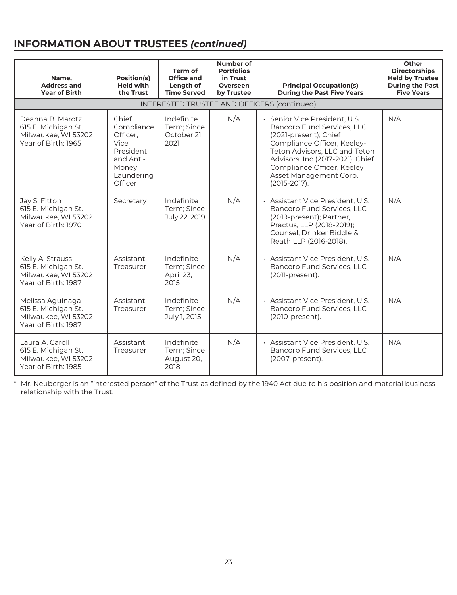# **INFORMATION ABOUT TRUSTEES** *(continued)*

| Name,<br><b>Address and</b><br><b>Year of Birth</b>                                   | Position(s)<br><b>Held with</b><br>the Trust                                                        | Term of<br><b>Office and</b><br>Length of<br><b>Time Served</b> | Number of<br><b>Portfolios</b><br>in Trust<br>Overseen<br>by Trustee | <b>Principal Occupation(s)</b><br><b>During the Past Five Years</b>                                                                                                                                                                                                 | Other<br><b>Directorships</b><br><b>Held by Trustee</b><br><b>During the Past</b><br><b>Five Years</b> |  |
|---------------------------------------------------------------------------------------|-----------------------------------------------------------------------------------------------------|-----------------------------------------------------------------|----------------------------------------------------------------------|---------------------------------------------------------------------------------------------------------------------------------------------------------------------------------------------------------------------------------------------------------------------|--------------------------------------------------------------------------------------------------------|--|
|                                                                                       |                                                                                                     |                                                                 |                                                                      | INTERESTED TRUSTEE AND OFFICERS (continued)                                                                                                                                                                                                                         |                                                                                                        |  |
| Deanna B. Marotz<br>615 E. Michigan St.<br>Milwaukee, WI 53202<br>Year of Birth: 1965 | Chief<br>Compliance<br>Officer.<br>Vice<br>President<br>and Anti-<br>Money<br>Laundering<br>Officer | Indefinite<br>Term; Since<br>October 21,<br>2021                | N/A                                                                  | Senior Vice President, U.S.<br>Bancorp Fund Services, LLC<br>(2021-present); Chief<br>Compliance Officer, Keeley-<br>Teton Advisors, LLC and Teton<br>Advisors, Inc (2017-2021); Chief<br>Compliance Officer, Keeley<br>Asset Management Corp.<br>$(2015 - 2017)$ . | N/A                                                                                                    |  |
| Jay S. Fitton<br>615 E. Michigan St.<br>Milwaukee, WI 53202<br>Year of Birth: 1970    | Secretary                                                                                           | Indefinite<br>Term; Since<br>July 22, 2019                      | N/A                                                                  | · Assistant Vice President. U.S.<br>Bancorp Fund Services, LLC<br>(2019-present); Partner,<br>Practus, LLP (2018-2019);<br>Counsel, Drinker Biddle &<br>Reath LLP (2016-2018).                                                                                      | N/A                                                                                                    |  |
| Kelly A. Strauss<br>615 E. Michigan St.<br>Milwaukee, WI 53202<br>Year of Birth: 1987 | Assistant<br>Treasurer                                                                              | Indefinite<br>Term; Since<br>April 23,<br>2015                  | N/A                                                                  | · Assistant Vice President, U.S.<br>Bancorp Fund Services, LLC<br>(2011-present).                                                                                                                                                                                   | N/A                                                                                                    |  |
| Melissa Aguinaga<br>615 E. Michigan St.<br>Milwaukee, WI 53202<br>Year of Birth: 1987 | Assistant<br>Treasurer                                                                              | Indefinite<br>Term; Since<br>July 1, 2015                       | N/A                                                                  | · Assistant Vice President, U.S.<br>Bancorp Fund Services, LLC<br>(2010-present).                                                                                                                                                                                   | N/A                                                                                                    |  |
| Laura A. Caroll<br>615 E. Michigan St.<br>Milwaukee, WI 53202<br>Year of Birth: 1985  | Assistant<br>Treasurer                                                                              | Indefinite<br>Term; Since<br>August 20,<br>2018                 | N/A                                                                  | · Assistant Vice President, U.S.<br>Bancorp Fund Services, LLC<br>(2007-present).                                                                                                                                                                                   | N/A                                                                                                    |  |

\* Mr. Neuberger is an "interested person" of the Trust as defined by the 1940 Act due to his position and material business relationship with the Trust.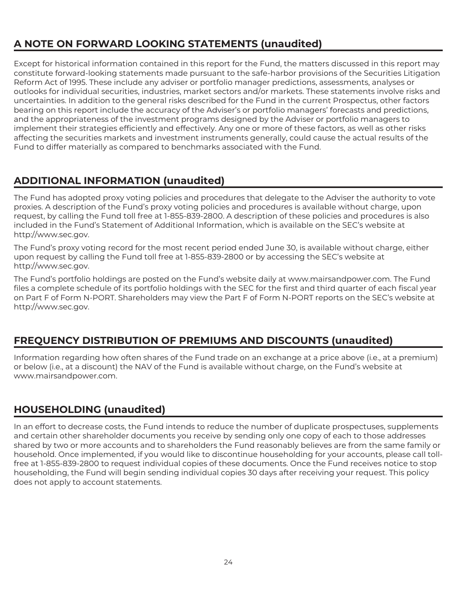# **A NOTE ON FORWARD LOOKING STATEMENTS (unaudited)**

Except for historical information contained in this report for the Fund, the matters discussed in this report may constitute forward-looking statements made pursuant to the safe-harbor provisions of the Securities Litigation Reform Act of 1995. These include any adviser or portfolio manager predictions, assessments, analyses or outlooks for individual securities, industries, market sectors and/or markets. These statements involve risks and uncertainties. In addition to the general risks described for the Fund in the current Prospectus, other factors bearing on this report include the accuracy of the Adviser's or portfolio managers' forecasts and predictions, and the appropriateness of the investment programs designed by the Adviser or portfolio managers to implement their strategies efficiently and effectively. Any one or more of these factors, as well as other risks affecting the securities markets and investment instruments generally, could cause the actual results of the Fund to differ materially as compared to benchmarks associated with the Fund.

# **ADDITIONAL INFORMATION (unaudited)**

The Fund has adopted proxy voting policies and procedures that delegate to the Adviser the authority to vote proxies. A description of the Fund's proxy voting policies and procedures is available without charge, upon request, by calling the Fund toll free at 1-855-839-2800. A description of these policies and procedures is also included in the Fund's Statement of Additional Information, which is available on the SEC's website at http://www.sec.gov.

The Fund's proxy voting record for the most recent period ended June 30, is available without charge, either upon request by calling the Fund toll free at 1-855-839-2800 or by accessing the SEC's website at http://www.sec.gov.

The Fund's portfolio holdings are posted on the Fund's website daily at www.mairsandpower.com. The Fund files a complete schedule of its portfolio holdings with the SEC for the first and third quarter of each fiscal year on Part F of Form N-PORT. Shareholders may view the Part F of Form N-PORT reports on the SEC's website at http://www.sec.gov.

# **FREQUENCY DISTRIBUTION OF PREMIUMS AND DISCOUNTS (unaudited)**

Information regarding how often shares of the Fund trade on an exchange at a price above (i.e., at a premium) or below (i.e., at a discount) the NAV of the Fund is available without charge, on the Fund's website at www.mairsandpower.com.

# **HOUSEHOLDING (unaudited)**

In an effort to decrease costs, the Fund intends to reduce the number of duplicate prospectuses, supplements and certain other shareholder documents you receive by sending only one copy of each to those addresses shared by two or more accounts and to shareholders the Fund reasonably believes are from the same family or household. Once implemented, if you would like to discontinue householding for your accounts, please call tollfree at 1-855-839-2800 to request individual copies of these documents. Once the Fund receives notice to stop householding, the Fund will begin sending individual copies 30 days after receiving your request. This policy does not apply to account statements.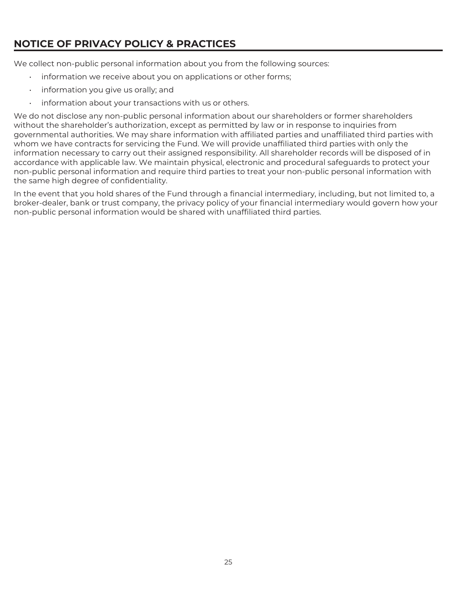# **NOTICE OF PRIVACY POLICY & PRACTICES**

We collect non-public personal information about you from the following sources:

- information we receive about you on applications or other forms;
- information you give us orally; and
- information about your transactions with us or others.

We do not disclose any non-public personal information about our shareholders or former shareholders without the shareholder's authorization, except as permitted by law or in response to inquiries from governmental authorities. We may share information with affiliated parties and unaffiliated third parties with whom we have contracts for servicing the Fund. We will provide unaffiliated third parties with only the information necessary to carry out their assigned responsibility. All shareholder records will be disposed of in accordance with applicable law. We maintain physical, electronic and procedural safeguards to protect your non-public personal information and require third parties to treat your non-public personal information with the same high degree of confidentiality.

In the event that you hold shares of the Fund through a financial intermediary, including, but not limited to, a broker-dealer, bank or trust company, the privacy policy of your financial intermediary would govern how your non-public personal information would be shared with unaffiliated third parties.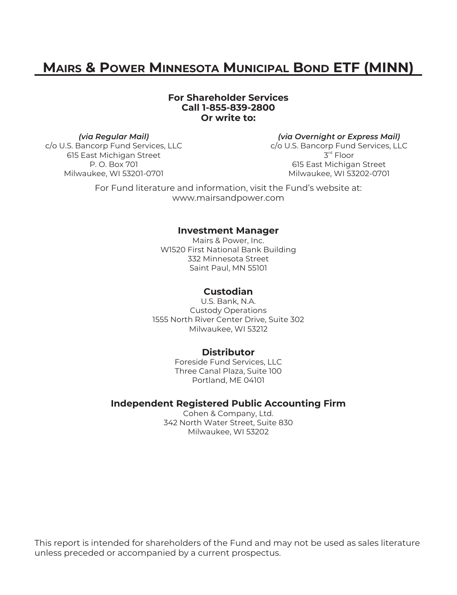# **MAIRS & POWER MINNESOTA MUNICIPAL BOND ETF (MINN)**

#### **For Shareholder Services Call 1-855-839-2800 Or write to:**

 *(via Regular Mail) (via Overnight or Express Mail)* c/o U.S. Bancorp Fund Services, LLC c/o U.S. Bancorp Fund Services, LLC 615 East Michigan Street  $3^{\text{rd}}$  Floor Milwaukee, WI 53201-0701 Milwaukee, WI 53202-0701

P. O. Box 701 **615 East Michigan Street** 

For Fund literature and information, visit the Fund's website at: www.mairsandpower.com

#### **Investment Manager**

Mairs & Power, Inc. W1520 First National Bank Building 332 Minnesota Street Saint Paul, MN 55101

### **Custodian**

U.S. Bank, N.A. Custody Operations 1555 North River Center Drive, Suite 302 Milwaukee, WI 53212

#### **Distributor**

Foreside Fund Services, LLC Three Canal Plaza, Suite 100 Portland, ME 04101

#### **Independent Registered Public Accounting Firm**

Cohen & Company, Ltd. 342 North Water Street, Suite 830 Milwaukee, WI 53202

This report is intended for shareholders of the Fund and may not be used as sales literature unless preceded or accompanied by a current prospectus.